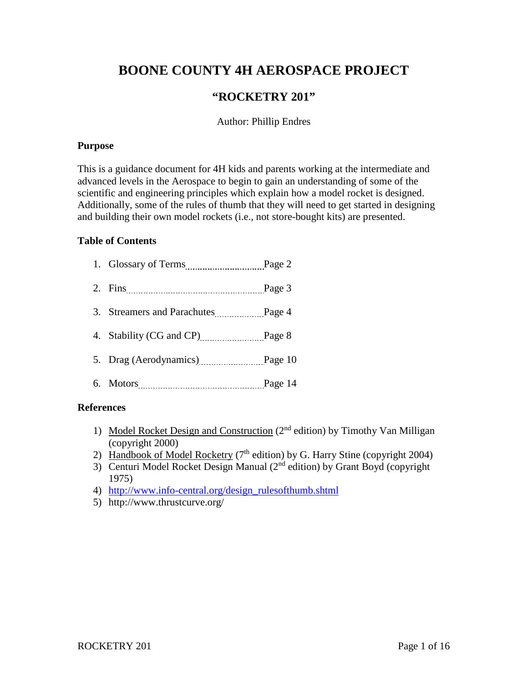# **BOONE COUNTY 4H AEROSPACE PROJECT**

# **"ROCKETRY 201"**

## Author: Phillip Endres

#### **Purpose**

This is a guidance document for 4H kids and parents working at the intermediate and advanced levels in the Aerospace to begin to gain an understanding of some of the scientific and engineering principles which explain how a model rocket is designed. Additionally, some of the rules of thumb that they will need to get started in designing and building their own model rockets (i.e., not store-bought kits) are presented.

## **Table of Contents**

| Glossary of Terms |  |
|-------------------|--|
|                   |  |

- 2. Fins Page 3
- 3. Streamers and Parachutes Page 4
- 4. Stability (CG and CP) Page 8
- 5. Drag (Aerodynamics) Page 10
- 6. Motors Page 14

## **References**

- 1) Model Rocket Design and Construction (2<sup>nd</sup> edition) by Timothy Van Milligan (copyright 2000)
- 2) Handbook of Model Rocketry ( $7<sup>th</sup>$  edition) by G. Harry Stine (copyright 2004)
- 3) Centuri Model Rocket Design Manual (2nd edition) by Grant Boyd (copyright 1975)
- 4) [http://www.info-central.org/design\\_rulesofthumb.shtml](http://www.info-central.org/design_rulesofthumb.shtml)
- 5) http://www.thrustcurve.org/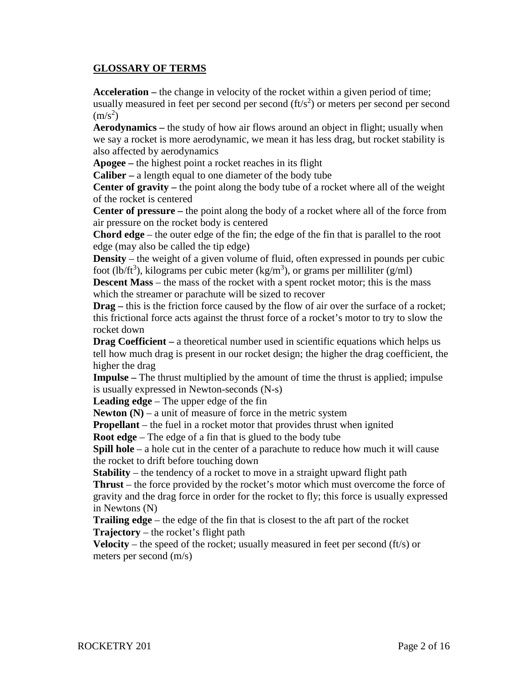## **GLOSSARY OF TERMS**

**Acceleration –** the change in velocity of the rocket within a given period of time; usually measured in feet per second per second  $(ft/s<sup>2</sup>)$  or meters per second per second  $(m/s<sup>2</sup>)$ 

**Aerodynamics –** the study of how air flows around an object in flight; usually when we say a rocket is more aerodynamic, we mean it has less drag, but rocket stability is also affected by aerodynamics

**Apogee –** the highest point a rocket reaches in its flight

**Caliber –** a length equal to one diameter of the body tube

**Center of gravity –** the point along the body tube of a rocket where all of the weight of the rocket is centered

**Center of pressure –** the point along the body of a rocket where all of the force from air pressure on the rocket body is centered

**Chord edge** – the outer edge of the fin; the edge of the fin that is parallel to the root edge (may also be called the tip edge)

**Density** – the weight of a given volume of fluid, often expressed in pounds per cubic foot (lb/ft<sup>3</sup>), kilograms per cubic meter (kg/m<sup>3</sup>), or grams per milliliter (g/ml)

**Descent Mass** – the mass of the rocket with a spent rocket motor; this is the mass which the streamer or parachute will be sized to recover

**Drag** – this is the friction force caused by the flow of air over the surface of a rocket; this frictional force acts against the thrust force of a rocket's motor to try to slow the rocket down

**Drag Coefficient** – a theoretical number used in scientific equations which helps us tell how much drag is present in our rocket design; the higher the drag coefficient, the higher the drag

**Impulse –** The thrust multiplied by the amount of time the thrust is applied; impulse is usually expressed in Newton-seconds (N-s)

**Leading edge** – The upper edge of the fin

**Newton**  $(N)$  – a unit of measure of force in the metric system

**Propellant** – the fuel in a rocket motor that provides thrust when ignited

**Root edge** – The edge of a fin that is glued to the body tube

**Spill hole** – a hole cut in the center of a parachute to reduce how much it will cause the rocket to drift before touching down

**Stability** – the tendency of a rocket to move in a straight upward flight path **Thrust** – the force provided by the rocket's motor which must overcome the force of gravity and the drag force in order for the rocket to fly; this force is usually expressed in Newtons (N)

**Trailing edge** – the edge of the fin that is closest to the aft part of the rocket **Trajectory** – the rocket's flight path

**Velocity** – the speed of the rocket; usually measured in feet per second (ft/s) or meters per second (m/s)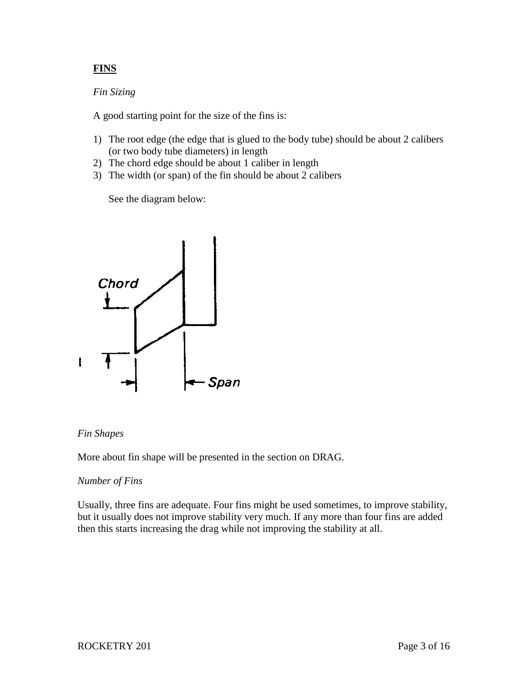# **FINS**

#### *Fin Sizing*

A good starting point for the size of the fins is:

- 1) The root edge (the edge that is glued to the body tube) should be about 2 calibers (or two body tube diameters) in length
- 2) The chord edge should be about 1 caliber in length
- 3) The width (or span) of the fin should be about 2 calibers

See the diagram below:



## *Fin Shapes*

More about fin shape will be presented in the section on DRAG.

## *Number of Fins*

Usually, three fins are adequate. Four fins might be used sometimes, to improve stability, but it usually does not improve stability very much. If any more than four fins are added then this starts increasing the drag while not improving the stability at all.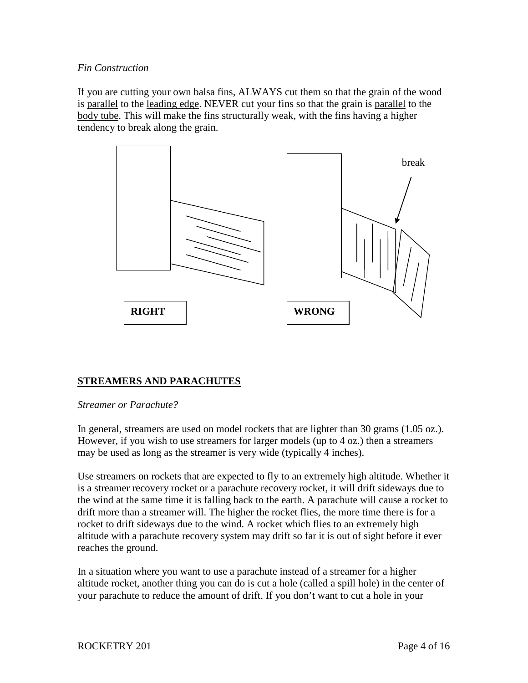## *Fin Construction*

If you are cutting your own balsa fins, ALWAYS cut them so that the grain of the wood is parallel to the leading edge. NEVER cut your fins so that the grain is parallel to the body tube. This will make the fins structurally weak, with the fins having a higher tendency to break along the grain.



# **STREAMERS AND PARACHUTES**

## *Streamer or Parachute?*

In general, streamers are used on model rockets that are lighter than 30 grams (1.05 oz.). However, if you wish to use streamers for larger models (up to 4 oz.) then a streamers may be used as long as the streamer is very wide (typically 4 inches).

Use streamers on rockets that are expected to fly to an extremely high altitude. Whether it is a streamer recovery rocket or a parachute recovery rocket, it will drift sideways due to the wind at the same time it is falling back to the earth. A parachute will cause a rocket to drift more than a streamer will. The higher the rocket flies, the more time there is for a rocket to drift sideways due to the wind. A rocket which flies to an extremely high altitude with a parachute recovery system may drift so far it is out of sight before it ever reaches the ground.

In a situation where you want to use a parachute instead of a streamer for a higher altitude rocket, another thing you can do is cut a hole (called a spill hole) in the center of your parachute to reduce the amount of drift. If you don't want to cut a hole in your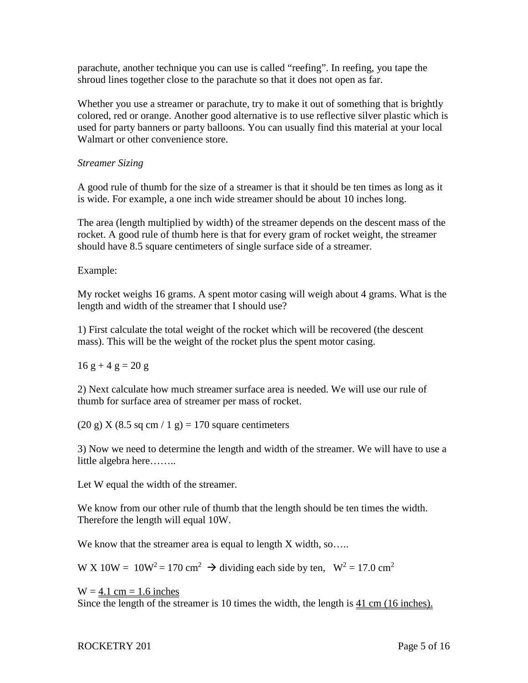parachute, another technique you can use is called "reefing". In reefing, you tape the shroud lines together close to the parachute so that it does not open as far.

Whether you use a streamer or parachute, try to make it out of something that is brightly colored, red or orange. Another good alternative is to use reflective silver plastic which is used for party banners or party balloons. You can usually find this material at your local Walmart or other convenience store.

## *Streamer Sizing*

A good rule of thumb for the size of a streamer is that it should be ten times as long as it is wide. For example, a one inch wide streamer should be about 10 inches long.

The area (length multiplied by width) of the streamer depends on the descent mass of the rocket. A good rule of thumb here is that for every gram of rocket weight, the streamer should have 8.5 square centimeters of single surface side of a streamer.

Example:

My rocket weighs 16 grams. A spent motor casing will weigh about 4 grams. What is the length and width of the streamer that I should use?

1) First calculate the total weight of the rocket which will be recovered (the descent mass). This will be the weight of the rocket plus the spent motor casing.

 $16 g + 4 g = 20 g$ 

2) Next calculate how much streamer surface area is needed. We will use our rule of thumb for surface area of streamer per mass of rocket.

(20 g) X (8.5 sq cm / 1 g) = 170 square centimeters

3) Now we need to determine the length and width of the streamer. We will have to use a little algebra here……..

Let W equal the width of the streamer.

We know from our other rule of thumb that the length should be ten times the width. Therefore the length will equal 10W.

We know that the streamer area is equal to length X width, so.....

W X 10W =  $10W^2 = 170 \text{ cm}^2$   $\rightarrow$  dividing each side by ten,  $W^2 = 17.0 \text{ cm}^2$ 

 $W = 4.1$  cm = 1.6 inches Since the length of the streamer is 10 times the width, the length is 41 cm (16 inches).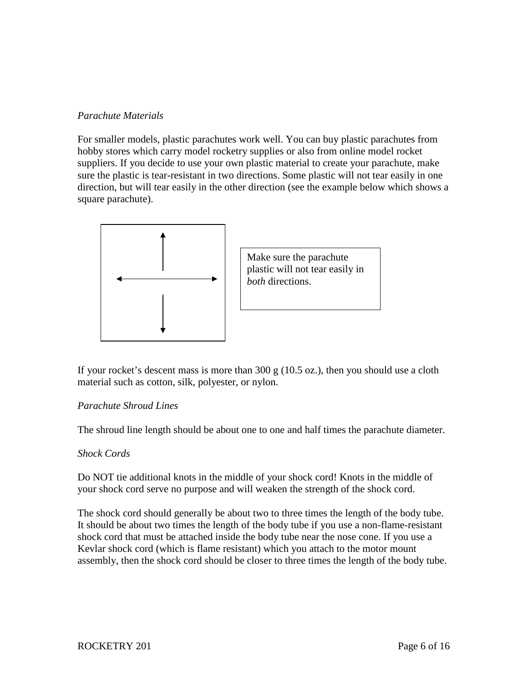## *Parachute Materials*

For smaller models, plastic parachutes work well. You can buy plastic parachutes from hobby stores which carry model rocketry supplies or also from online model rocket suppliers. If you decide to use your own plastic material to create your parachute, make sure the plastic is tear-resistant in two directions. Some plastic will not tear easily in one direction, but will tear easily in the other direction (see the example below which shows a square parachute).



If your rocket's descent mass is more than  $300 \text{ g}$  (10.5 oz.), then you should use a cloth material such as cotton, silk, polyester, or nylon.

## *Parachute Shroud Lines*

The shroud line length should be about one to one and half times the parachute diameter.

## *Shock Cords*

Do NOT tie additional knots in the middle of your shock cord! Knots in the middle of your shock cord serve no purpose and will weaken the strength of the shock cord.

The shock cord should generally be about two to three times the length of the body tube. It should be about two times the length of the body tube if you use a non-flame-resistant shock cord that must be attached inside the body tube near the nose cone. If you use a Kevlar shock cord (which is flame resistant) which you attach to the motor mount assembly, then the shock cord should be closer to three times the length of the body tube.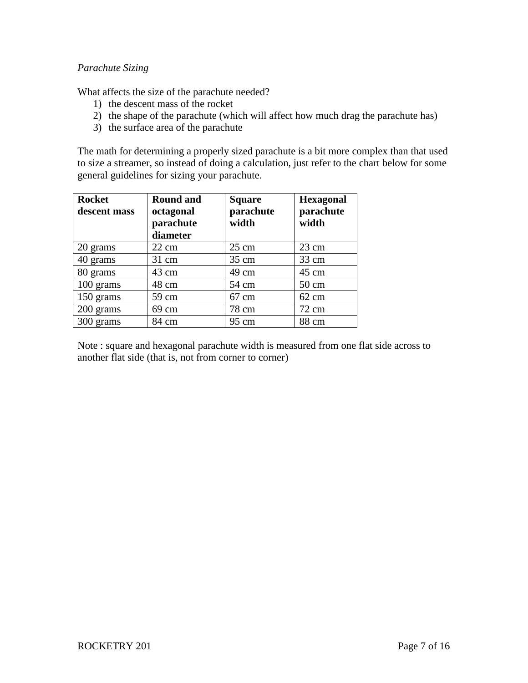## *Parachute Sizing*

What affects the size of the parachute needed?

- 1) the descent mass of the rocket
- 2) the shape of the parachute (which will affect how much drag the parachute has)
- 3) the surface area of the parachute

The math for determining a properly sized parachute is a bit more complex than that used to size a streamer, so instead of doing a calculation, just refer to the chart below for some general guidelines for sizing your parachute.

| <b>Rocket</b><br>descent mass | <b>Round and</b><br>octagonal<br>parachute<br>diameter | <b>Square</b><br>parachute<br>width | <b>Hexagonal</b><br>parachute<br>width |
|-------------------------------|--------------------------------------------------------|-------------------------------------|----------------------------------------|
| 20 grams                      | $22 \text{ cm}$                                        | $25 \text{ cm}$                     | $23 \text{ cm}$                        |
| 40 grams                      | $31 \text{ cm}$                                        | $35 \text{ cm}$                     | 33 cm                                  |
| 80 grams                      | 43 cm                                                  | 49 cm                               | $45 \text{ cm}$                        |
| 100 grams                     | 48 cm                                                  | 54 cm                               | $50 \text{ cm}$                        |
| 150 grams                     | 59 cm                                                  | $67 \text{ cm}$                     | $62 \text{ cm}$                        |
| 200 grams                     | 69 cm                                                  | 78 cm                               | $72 \text{ cm}$                        |
| 300 grams                     | 84 cm                                                  | 95 cm                               | 88 cm                                  |

Note : square and hexagonal parachute width is measured from one flat side across to another flat side (that is, not from corner to corner)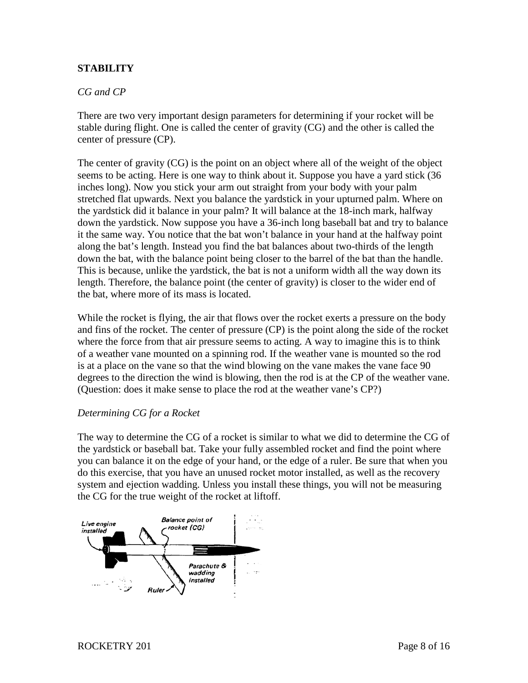# **STABILITY**

## *CG and CP*

There are two very important design parameters for determining if your rocket will be stable during flight. One is called the center of gravity (CG) and the other is called the center of pressure (CP).

The center of gravity (CG) is the point on an object where all of the weight of the object seems to be acting. Here is one way to think about it. Suppose you have a yard stick (36 inches long). Now you stick your arm out straight from your body with your palm stretched flat upwards. Next you balance the yardstick in your upturned palm. Where on the yardstick did it balance in your palm? It will balance at the 18-inch mark, halfway down the yardstick. Now suppose you have a 36-inch long baseball bat and try to balance it the same way. You notice that the bat won't balance in your hand at the halfway point along the bat's length. Instead you find the bat balances about two-thirds of the length down the bat, with the balance point being closer to the barrel of the bat than the handle. This is because, unlike the yardstick, the bat is not a uniform width all the way down its length. Therefore, the balance point (the center of gravity) is closer to the wider end of the bat, where more of its mass is located.

While the rocket is flying, the air that flows over the rocket exerts a pressure on the body and fins of the rocket. The center of pressure (CP) is the point along the side of the rocket where the force from that air pressure seems to acting. A way to imagine this is to think of a weather vane mounted on a spinning rod. If the weather vane is mounted so the rod is at a place on the vane so that the wind blowing on the vane makes the vane face 90 degrees to the direction the wind is blowing, then the rod is at the CP of the weather vane. (Question: does it make sense to place the rod at the weather vane's CP?)

## *Determining CG for a Rocket*

The way to determine the CG of a rocket is similar to what we did to determine the CG of the yardstick or baseball bat. Take your fully assembled rocket and find the point where you can balance it on the edge of your hand, or the edge of a ruler. Be sure that when you do this exercise, that you have an unused rocket motor installed, as well as the recovery system and ejection wadding. Unless you install these things, you will not be measuring the CG for the true weight of the rocket at liftoff.

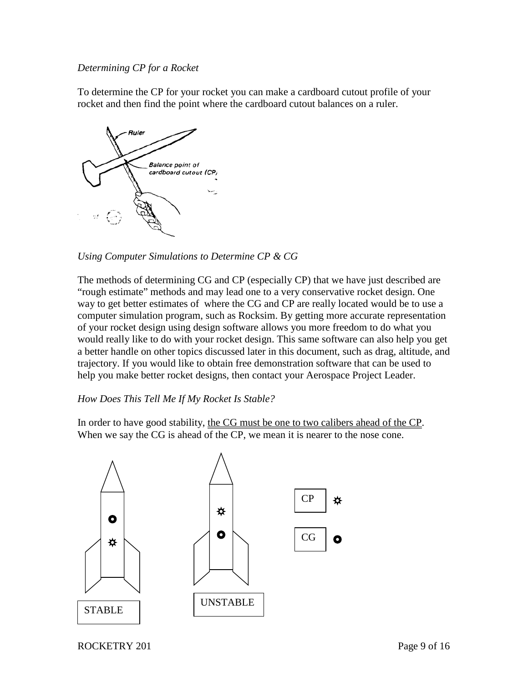## *Determining CP for a Rocket*

To determine the CP for your rocket you can make a cardboard cutout profile of your rocket and then find the point where the cardboard cutout balances on a ruler.



*Using Computer Simulations to Determine CP & CG*

The methods of determining CG and CP (especially CP) that we have just described are "rough estimate" methods and may lead one to a very conservative rocket design. One way to get better estimates of where the CG and CP are really located would be to use a computer simulation program, such as Rocksim. By getting more accurate representation of your rocket design using design software allows you more freedom to do what you would really like to do with your rocket design. This same software can also help you get a better handle on other topics discussed later in this document, such as drag, altitude, and trajectory. If you would like to obtain free demonstration software that can be used to help you make better rocket designs, then contact your Aerospace Project Leader.

## *How Does This Tell Me If My Rocket Is Stable?*

In order to have good stability, the CG must be one to two calibers ahead of the CP. When we say the CG is ahead of the CP, we mean it is nearer to the nose cone.

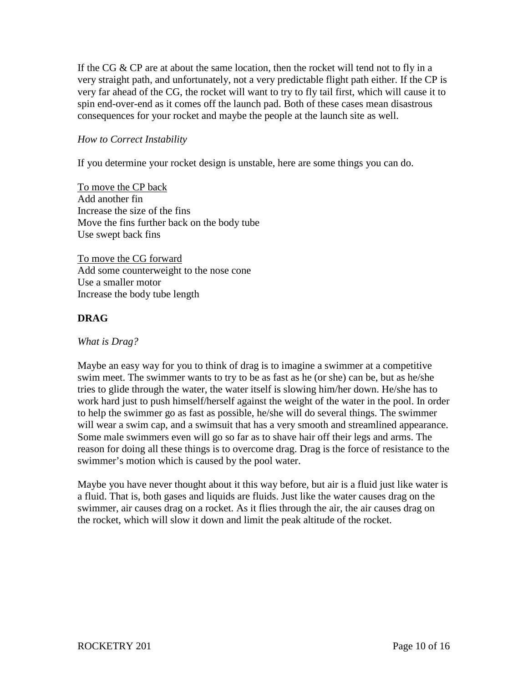If the CG  $\&$  CP are at about the same location, then the rocket will tend not to fly in a very straight path, and unfortunately, not a very predictable flight path either. If the CP is very far ahead of the CG, the rocket will want to try to fly tail first, which will cause it to spin end-over-end as it comes off the launch pad. Both of these cases mean disastrous consequences for your rocket and maybe the people at the launch site as well.

## *How to Correct Instability*

If you determine your rocket design is unstable, here are some things you can do.

To move the CP back Add another fin Increase the size of the fins Move the fins further back on the body tube Use swept back fins

To move the CG forward Add some counterweight to the nose cone Use a smaller motor Increase the body tube length

## **DRAG**

*What is Drag?*

Maybe an easy way for you to think of drag is to imagine a swimmer at a competitive swim meet. The swimmer wants to try to be as fast as he (or she) can be, but as he/she tries to glide through the water, the water itself is slowing him/her down. He/she has to work hard just to push himself/herself against the weight of the water in the pool. In order to help the swimmer go as fast as possible, he/she will do several things. The swimmer will wear a swim cap, and a swimsuit that has a very smooth and streamlined appearance. Some male swimmers even will go so far as to shave hair off their legs and arms. The reason for doing all these things is to overcome drag. Drag is the force of resistance to the swimmer's motion which is caused by the pool water.

Maybe you have never thought about it this way before, but air is a fluid just like water is a fluid. That is, both gases and liquids are fluids. Just like the water causes drag on the swimmer, air causes drag on a rocket. As it flies through the air, the air causes drag on the rocket, which will slow it down and limit the peak altitude of the rocket.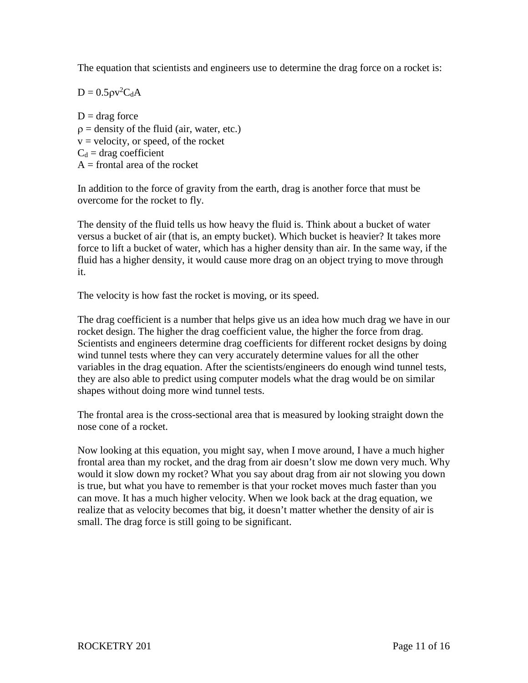The equation that scientists and engineers use to determine the drag force on a rocket is:

 $D = 0.5 \rho v^2 C_d A$ 

 $D = drag force$  $\rho$  = density of the fluid (air, water, etc.)  $v =$  velocity, or speed, of the rocket  $C_d$  = drag coefficient  $A =$  frontal area of the rocket

In addition to the force of gravity from the earth, drag is another force that must be overcome for the rocket to fly.

The density of the fluid tells us how heavy the fluid is. Think about a bucket of water versus a bucket of air (that is, an empty bucket). Which bucket is heavier? It takes more force to lift a bucket of water, which has a higher density than air. In the same way, if the fluid has a higher density, it would cause more drag on an object trying to move through it.

The velocity is how fast the rocket is moving, or its speed.

The drag coefficient is a number that helps give us an idea how much drag we have in our rocket design. The higher the drag coefficient value, the higher the force from drag. Scientists and engineers determine drag coefficients for different rocket designs by doing wind tunnel tests where they can very accurately determine values for all the other variables in the drag equation. After the scientists/engineers do enough wind tunnel tests, they are also able to predict using computer models what the drag would be on similar shapes without doing more wind tunnel tests.

The frontal area is the cross-sectional area that is measured by looking straight down the nose cone of a rocket.

Now looking at this equation, you might say, when I move around, I have a much higher frontal area than my rocket, and the drag from air doesn't slow me down very much. Why would it slow down my rocket? What you say about drag from air not slowing you down is true, but what you have to remember is that your rocket moves much faster than you can move. It has a much higher velocity. When we look back at the drag equation, we realize that as velocity becomes that big, it doesn't matter whether the density of air is small. The drag force is still going to be significant.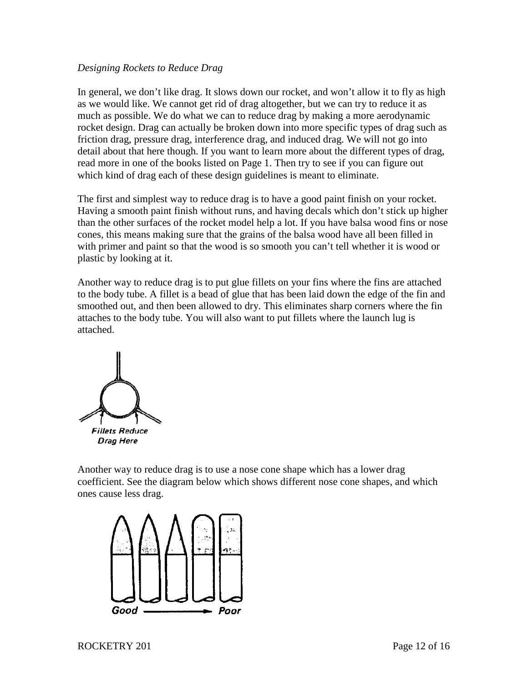### *Designing Rockets to Reduce Drag*

In general, we don't like drag. It slows down our rocket, and won't allow it to fly as high as we would like. We cannot get rid of drag altogether, but we can try to reduce it as much as possible. We do what we can to reduce drag by making a more aerodynamic rocket design. Drag can actually be broken down into more specific types of drag such as friction drag, pressure drag, interference drag, and induced drag. We will not go into detail about that here though. If you want to learn more about the different types of drag, read more in one of the books listed on Page 1. Then try to see if you can figure out which kind of drag each of these design guidelines is meant to eliminate.

The first and simplest way to reduce drag is to have a good paint finish on your rocket. Having a smooth paint finish without runs, and having decals which don't stick up higher than the other surfaces of the rocket model help a lot. If you have balsa wood fins or nose cones, this means making sure that the grains of the balsa wood have all been filled in with primer and paint so that the wood is so smooth you can't tell whether it is wood or plastic by looking at it.

Another way to reduce drag is to put glue fillets on your fins where the fins are attached to the body tube. A fillet is a bead of glue that has been laid down the edge of the fin and smoothed out, and then been allowed to dry. This eliminates sharp corners where the fin attaches to the body tube. You will also want to put fillets where the launch lug is attached.



Another way to reduce drag is to use a nose cone shape which has a lower drag coefficient. See the diagram below which shows different nose cone shapes, and which ones cause less drag.

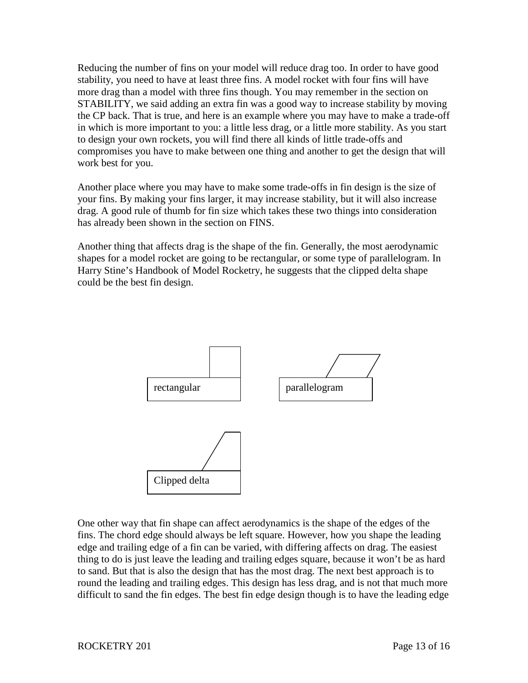Reducing the number of fins on your model will reduce drag too. In order to have good stability, you need to have at least three fins. A model rocket with four fins will have more drag than a model with three fins though. You may remember in the section on STABILITY, we said adding an extra fin was a good way to increase stability by moving the CP back. That is true, and here is an example where you may have to make a trade-off in which is more important to you: a little less drag, or a little more stability. As you start to design your own rockets, you will find there all kinds of little trade-offs and compromises you have to make between one thing and another to get the design that will work best for you.

Another place where you may have to make some trade-offs in fin design is the size of your fins. By making your fins larger, it may increase stability, but it will also increase drag. A good rule of thumb for fin size which takes these two things into consideration has already been shown in the section on FINS.

Another thing that affects drag is the shape of the fin. Generally, the most aerodynamic shapes for a model rocket are going to be rectangular, or some type of parallelogram. In Harry Stine's Handbook of Model Rocketry, he suggests that the clipped delta shape could be the best fin design.



One other way that fin shape can affect aerodynamics is the shape of the edges of the fins. The chord edge should always be left square. However, how you shape the leading edge and trailing edge of a fin can be varied, with differing affects on drag. The easiest thing to do is just leave the leading and trailing edges square, because it won't be as hard to sand. But that is also the design that has the most drag. The next best approach is to round the leading and trailing edges. This design has less drag, and is not that much more difficult to sand the fin edges. The best fin edge design though is to have the leading edge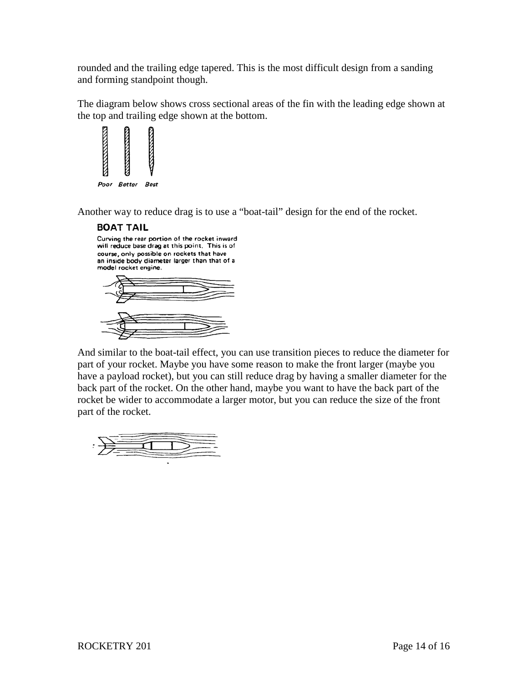rounded and the trailing edge tapered. This is the most difficult design from a sanding and forming standpoint though.

The diagram below shows cross sectional areas of the fin with the leading edge shown at the top and trailing edge shown at the bottom.



Another way to reduce drag is to use a "boat-tail" design for the end of the rocket.

#### **BOAT TAIL**

Curving the rear portion of the rocket inward will reduce base drag at this point. This is of course, only possible on rockets that have an inside body diameter larger than that of a model rocket engine.



And similar to the boat-tail effect, you can use transition pieces to reduce the diameter for part of your rocket. Maybe you have some reason to make the front larger (maybe you have a payload rocket), but you can still reduce drag by having a smaller diameter for the back part of the rocket. On the other hand, maybe you want to have the back part of the rocket be wider to accommodate a larger motor, but you can reduce the size of the front part of the rocket.

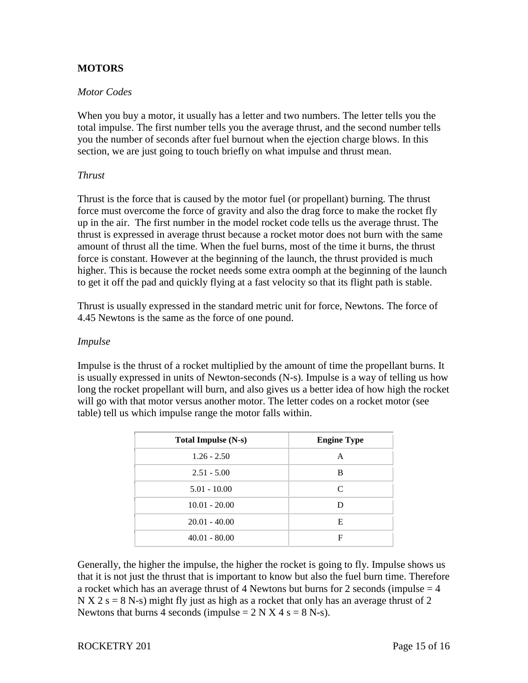## **MOTORS**

## *Motor Codes*

When you buy a motor, it usually has a letter and two numbers. The letter tells you the total impulse. The first number tells you the average thrust, and the second number tells you the number of seconds after fuel burnout when the ejection charge blows. In this section, we are just going to touch briefly on what impulse and thrust mean.

## *Thrust*

Thrust is the force that is caused by the motor fuel (or propellant) burning. The thrust force must overcome the force of gravity and also the drag force to make the rocket fly up in the air. The first number in the model rocket code tells us the average thrust. The thrust is expressed in average thrust because a rocket motor does not burn with the same amount of thrust all the time. When the fuel burns, most of the time it burns, the thrust force is constant. However at the beginning of the launch, the thrust provided is much higher. This is because the rocket needs some extra oomph at the beginning of the launch to get it off the pad and quickly flying at a fast velocity so that its flight path is stable.

Thrust is usually expressed in the standard metric unit for force, Newtons. The force of 4.45 Newtons is the same as the force of one pound.

## *Impulse*

Impulse is the thrust of a rocket multiplied by the amount of time the propellant burns. It is usually expressed in units of Newton-seconds (N-s). Impulse is a way of telling us how long the rocket propellant will burn, and also gives us a better idea of how high the rocket will go with that motor versus another motor. The letter codes on a rocket motor (see table) tell us which impulse range the motor falls within.

| <b>Total Impulse (N-s)</b> | <b>Engine Type</b> |
|----------------------------|--------------------|
| $1.26 - 2.50$              | Α                  |
| $2.51 - 5.00$              | B                  |
| $5.01 - 10.00$             | C                  |
| $10.01 - 20.00$            |                    |
| $20.01 - 40.00$            | Е                  |
| $40.01 - 80.00$            | F                  |

Generally, the higher the impulse, the higher the rocket is going to fly. Impulse shows us that it is not just the thrust that is important to know but also the fuel burn time. Therefore a rocket which has an average thrust of 4 Newtons but burns for 2 seconds (impulse  $=$  4  $N X 2 s = 8 N-s$ ) might fly just as high as a rocket that only has an average thrust of 2 Newtons that burns 4 seconds (impulse  $= 2 N X 4 s = 8 N-s$ ).